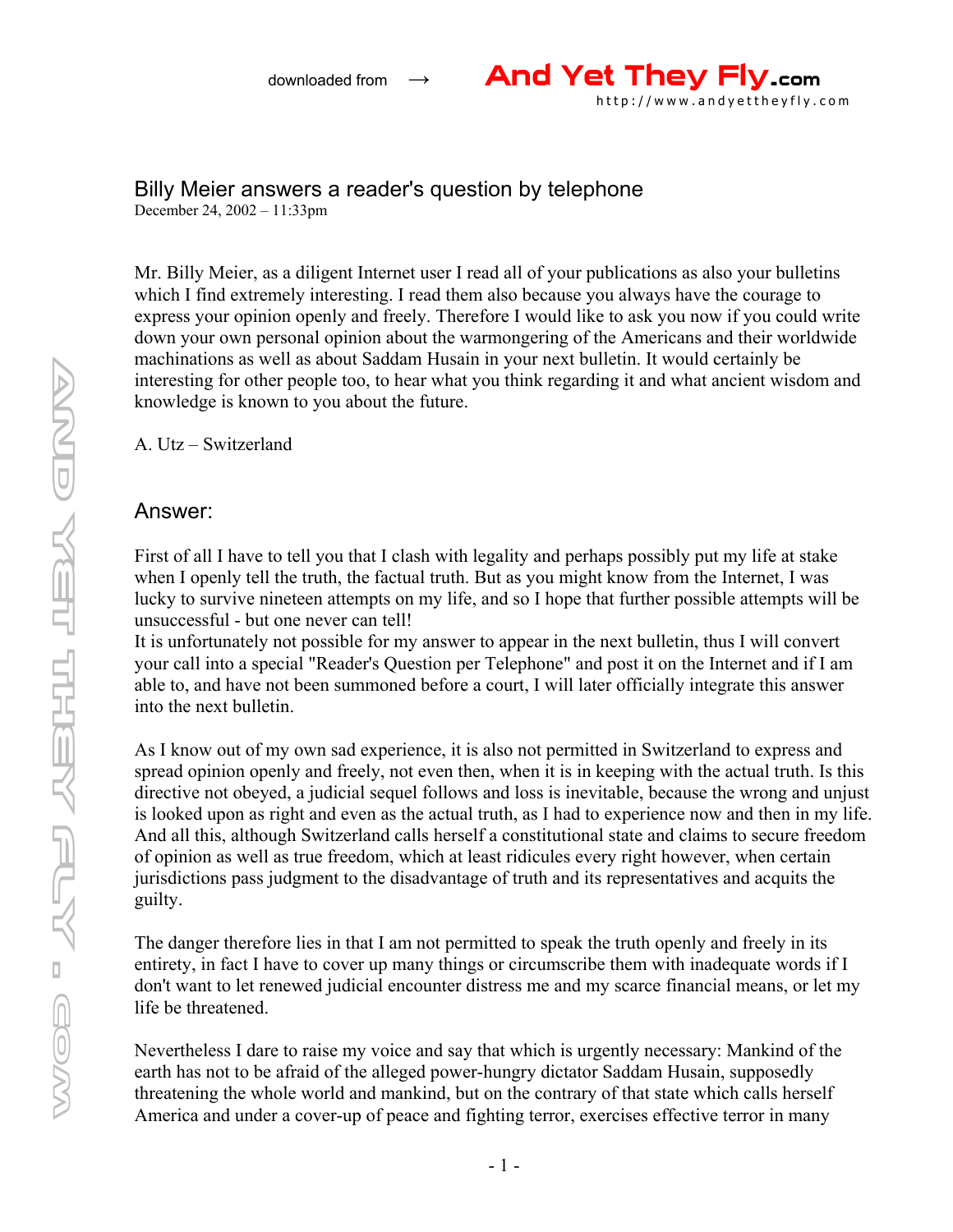

## Billy Meier answers a reader's question by telephone

December 24, 2002 – 11:33pm

Mr. Billy Meier, as a diligent Internet user I read all of your publications as also your bulletins which I find extremely interesting. I read them also because you always have the courage to express your opinion openly and freely. Therefore I would like to ask you now if you could write down your own personal opinion about the warmongering of the Americans and their worldwide machinations as well as about Saddam Husain in your next bulletin. It would certainly be interesting for other people too, to hear what you think regarding it and what ancient wisdom and knowledge is known to you about the future.

A. Utz – Switzerland

## Answer:

First of all I have to tell you that I clash with legality and perhaps possibly put my life at stake when I openly tell the truth, the factual truth. But as you might know from the Internet, I was lucky to survive nineteen attempts on my life, and so I hope that further possible attempts will be unsuccessful - but one never can tell!

It is unfortunately not possible for my answer to appear in the next bulletin, thus I will convert your call into a special "Reader's Question per Telephone" and post it on the Internet and if I am able to, and have not been summoned before a court, I will later officially integrate this answer into the next bulletin.

As I know out of my own sad experience, it is also not permitted in Switzerland to express and spread opinion openly and freely, not even then, when it is in keeping with the actual truth. Is this directive not obeyed, a judicial sequel follows and loss is inevitable, because the wrong and unjust is looked upon as right and even as the actual truth, as I had to experience now and then in my life. And all this, although Switzerland calls herself a constitutional state and claims to secure freedom of opinion as well as true freedom, which at least ridicules every right however, when certain jurisdictions pass judgment to the disadvantage of truth and its representatives and acquits the guilty.

The danger therefore lies in that I am not permitted to speak the truth openly and freely in its entirety, in fact I have to cover up many things or circumscribe them with inadequate words if I don't want to let renewed judicial encounter distress me and my scarce financial means, or let my life be threatened.

Nevertheless I dare to raise my voice and say that which is urgently necessary: Mankind of the earth has not to be afraid of the alleged power-hungry dictator Saddam Husain, supposedly threatening the whole world and mankind, but on the contrary of that state which calls herself America and under a cover-up of peace and fighting terror, exercises effective terror in many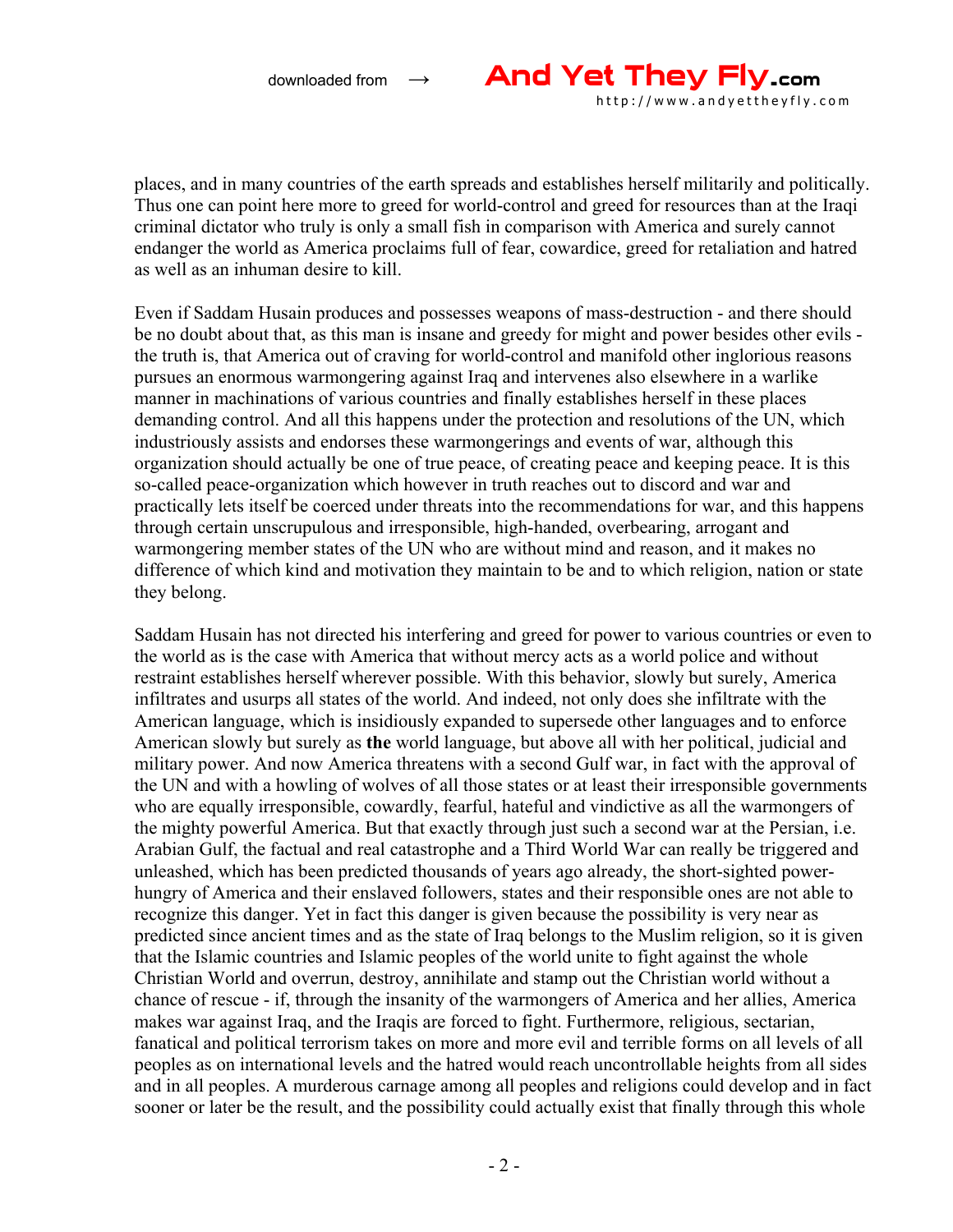

places, and in many countries of the earth spreads and establishes herself militarily and politically. Thus one can point here more to greed for world-control and greed for resources than at the Iraqi criminal dictator who truly is only a small fish in comparison with America and surely cannot endanger the world as America proclaims full of fear, cowardice, greed for retaliation and hatred as well as an inhuman desire to kill.

Even if Saddam Husain produces and possesses weapons of mass-destruction - and there should be no doubt about that, as this man is insane and greedy for might and power besides other evils the truth is, that America out of craving for world-control and manifold other inglorious reasons pursues an enormous warmongering against Iraq and intervenes also elsewhere in a warlike manner in machinations of various countries and finally establishes herself in these places demanding control. And all this happens under the protection and resolutions of the UN, which industriously assists and endorses these warmongerings and events of war, although this organization should actually be one of true peace, of creating peace and keeping peace. It is this so-called peace-organization which however in truth reaches out to discord and war and practically lets itself be coerced under threats into the recommendations for war, and this happens through certain unscrupulous and irresponsible, high-handed, overbearing, arrogant and warmongering member states of the UN who are without mind and reason, and it makes no difference of which kind and motivation they maintain to be and to which religion, nation or state they belong.

Saddam Husain has not directed his interfering and greed for power to various countries or even to the world as is the case with America that without mercy acts as a world police and without restraint establishes herself wherever possible. With this behavior, slowly but surely, America infiltrates and usurps all states of the world. And indeed, not only does she infiltrate with the American language, which is insidiously expanded to supersede other languages and to enforce American slowly but surely as **the** world language, but above all with her political, judicial and military power. And now America threatens with a second Gulf war, in fact with the approval of the UN and with a howling of wolves of all those states or at least their irresponsible governments who are equally irresponsible, cowardly, fearful, hateful and vindictive as all the warmongers of the mighty powerful America. But that exactly through just such a second war at the Persian, i.e. Arabian Gulf, the factual and real catastrophe and a Third World War can really be triggered and unleashed, which has been predicted thousands of years ago already, the short-sighted powerhungry of America and their enslaved followers, states and their responsible ones are not able to recognize this danger. Yet in fact this danger is given because the possibility is very near as predicted since ancient times and as the state of Iraq belongs to the Muslim religion, so it is given that the Islamic countries and Islamic peoples of the world unite to fight against the whole Christian World and overrun, destroy, annihilate and stamp out the Christian world without a chance of rescue - if, through the insanity of the warmongers of America and her allies, America makes war against Iraq, and the Iraqis are forced to fight. Furthermore, religious, sectarian, fanatical and political terrorism takes on more and more evil and terrible forms on all levels of all peoples as on international levels and the hatred would reach uncontrollable heights from all sides and in all peoples. A murderous carnage among all peoples and religions could develop and in fact sooner or later be the result, and the possibility could actually exist that finally through this whole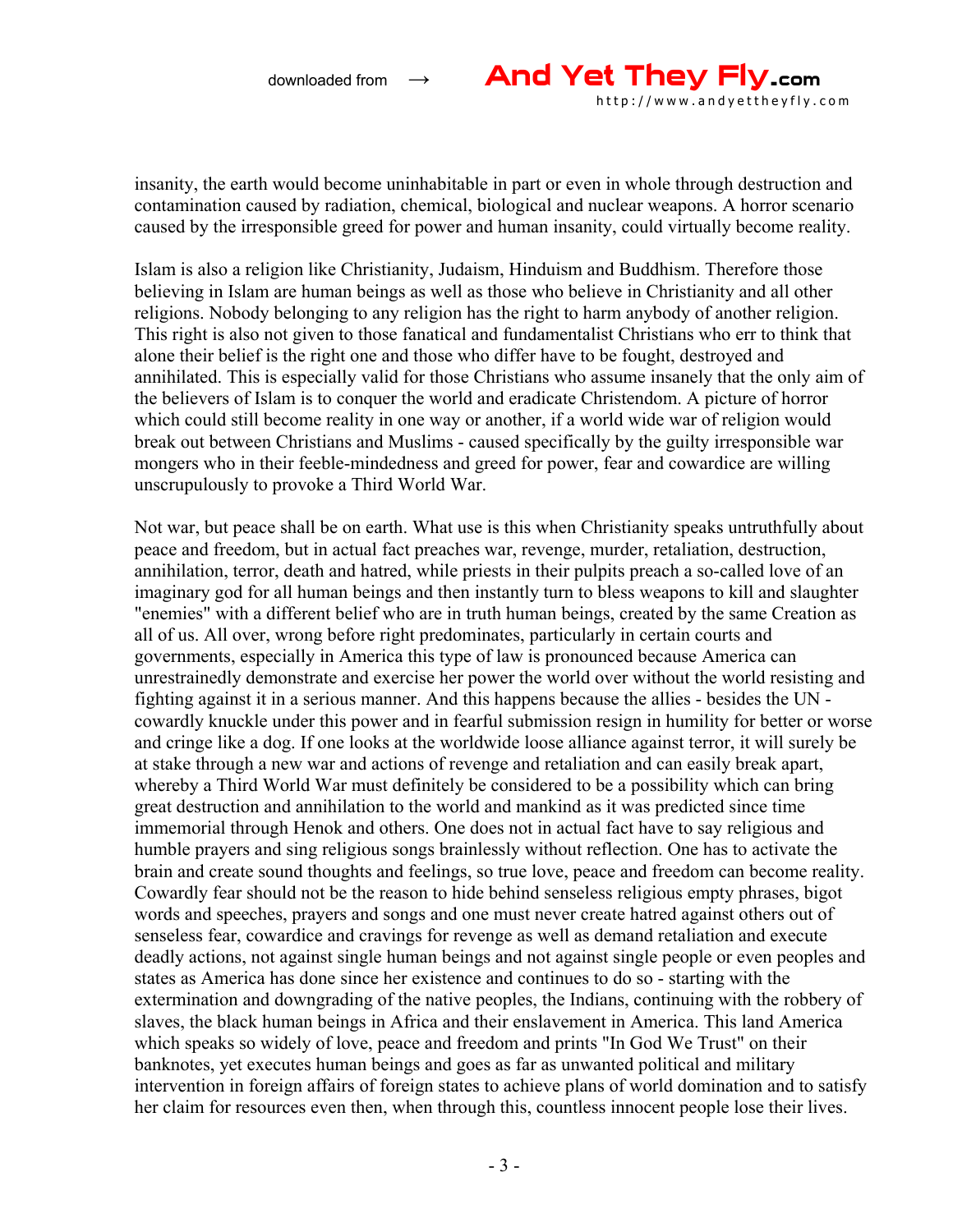

insanity, the earth would become uninhabitable in part or even in whole through destruction and contamination caused by radiation, chemical, biological and nuclear weapons. A horror scenario caused by the irresponsible greed for power and human insanity, could virtually become reality.

Islam is also a religion like Christianity, Judaism, Hinduism and Buddhism. Therefore those believing in Islam are human beings as well as those who believe in Christianity and all other religions. Nobody belonging to any religion has the right to harm anybody of another religion. This right is also not given to those fanatical and fundamentalist Christians who err to think that alone their belief is the right one and those who differ have to be fought, destroyed and annihilated. This is especially valid for those Christians who assume insanely that the only aim of the believers of Islam is to conquer the world and eradicate Christendom. A picture of horror which could still become reality in one way or another, if a world wide war of religion would break out between Christians and Muslims - caused specifically by the guilty irresponsible war mongers who in their feeble-mindedness and greed for power, fear and cowardice are willing unscrupulously to provoke a Third World War.

Not war, but peace shall be on earth. What use is this when Christianity speaks untruthfully about peace and freedom, but in actual fact preaches war, revenge, murder, retaliation, destruction, annihilation, terror, death and hatred, while priests in their pulpits preach a so-called love of an imaginary god for all human beings and then instantly turn to bless weapons to kill and slaughter "enemies" with a different belief who are in truth human beings, created by the same Creation as all of us. All over, wrong before right predominates, particularly in certain courts and governments, especially in America this type of law is pronounced because America can unrestrainedly demonstrate and exercise her power the world over without the world resisting and fighting against it in a serious manner. And this happens because the allies - besides the UN cowardly knuckle under this power and in fearful submission resign in humility for better or worse and cringe like a dog. If one looks at the worldwide loose alliance against terror, it will surely be at stake through a new war and actions of revenge and retaliation and can easily break apart, whereby a Third World War must definitely be considered to be a possibility which can bring great destruction and annihilation to the world and mankind as it was predicted since time immemorial through Henok and others. One does not in actual fact have to say religious and humble prayers and sing religious songs brainlessly without reflection. One has to activate the brain and create sound thoughts and feelings, so true love, peace and freedom can become reality. Cowardly fear should not be the reason to hide behind senseless religious empty phrases, bigot words and speeches, prayers and songs and one must never create hatred against others out of senseless fear, cowardice and cravings for revenge as well as demand retaliation and execute deadly actions, not against single human beings and not against single people or even peoples and states as America has done since her existence and continues to do so - starting with the extermination and downgrading of the native peoples, the Indians, continuing with the robbery of slaves, the black human beings in Africa and their enslavement in America. This land America which speaks so widely of love, peace and freedom and prints "In God We Trust" on their banknotes, yet executes human beings and goes as far as unwanted political and military intervention in foreign affairs of foreign states to achieve plans of world domination and to satisfy her claim for resources even then, when through this, countless innocent people lose their lives.